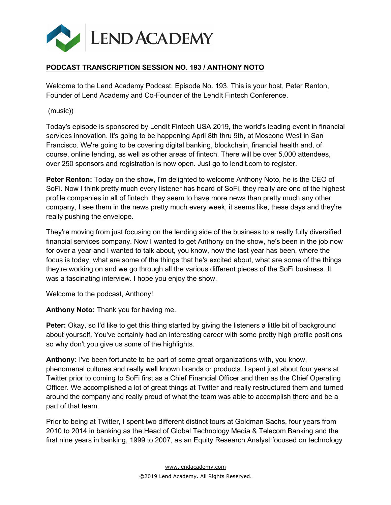

## **PODCAST TRANSCRIPTION SESSION NO. 193 / ANTHONY NOTO**

Welcome to the Lend Academy Podcast, Episode No. 193. This is your host, Peter Renton, Founder of Lend Academy and Co-Founder of the LendIt Fintech Conference.

(music))

Today's episode is sponsored by LendIt Fintech USA 2019, the world's leading event in financial services innovation. It's going to be happening April 8th thru 9th, at Moscone West in San Francisco. We're going to be covering digital banking, blockchain, financial health and, of course, online lending, as well as other areas of fintech. There will be over 5,000 attendees, over 250 sponsors and registration is now open. Just go to lendit.com to register.

**Peter Renton:** Today on the show, I'm delighted to welcome Anthony Noto, he is the CEO of SoFi. Now I think pretty much every listener has heard of SoFi, they really are one of the highest profile companies in all of fintech, they seem to have more news than pretty much any other company, I see them in the news pretty much every week, it seems like, these days and they're really pushing the envelope.

They're moving from just focusing on the lending side of the business to a really fully diversified financial services company. Now I wanted to get Anthony on the show, he's been in the job now for over a year and I wanted to talk about, you know, how the last year has been, where the focus is today, what are some of the things that he's excited about, what are some of the things they're working on and we go through all the various different pieces of the SoFi business. It was a fascinating interview. I hope you enjoy the show.

Welcome to the podcast, Anthony!

**Anthony Noto:** Thank you for having me.

**Peter:** Okay, so I'd like to get this thing started by giving the listeners a little bit of background about yourself. You've certainly had an interesting career with some pretty high profile positions so why don't you give us some of the highlights.

**Anthony:** I've been fortunate to be part of some great organizations with, you know, phenomenal cultures and really well known brands or products. I spent just about four years at Twitter prior to coming to SoFi first as a Chief Financial Officer and then as the Chief Operating Officer. We accomplished a lot of great things at Twitter and really restructured them and turned around the company and really proud of what the team was able to accomplish there and be a part of that team.

Prior to being at Twitter, I spent two different distinct tours at Goldman Sachs, four years from 2010 to 2014 in banking as the Head of Global Technology Media & Telecom Banking and the first nine years in banking, 1999 to 2007, as an Equity Research Analyst focused on technology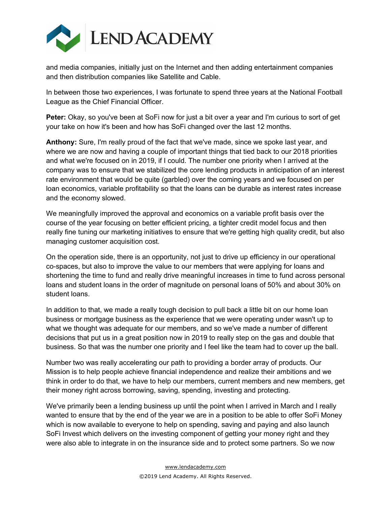

and media companies, initially just on the Internet and then adding entertainment companies and then distribution companies like Satellite and Cable.

In between those two experiences, I was fortunate to spend three years at the National Football League as the Chief Financial Officer.

**Peter:** Okay, so you've been at SoFi now for just a bit over a year and I'm curious to sort of get your take on how it's been and how has SoFi changed over the last 12 months.

**Anthony:** Sure, I'm really proud of the fact that we've made, since we spoke last year, and where we are now and having a couple of important things that tied back to our 2018 priorities and what we're focused on in 2019, if I could. The number one priority when I arrived at the company was to ensure that we stabilized the core lending products in anticipation of an interest rate environment that would be quite (garbled) over the coming years and we focused on per loan economics, variable profitability so that the loans can be durable as interest rates increase and the economy slowed.

We meaningfully improved the approval and economics on a variable profit basis over the course of the year focusing on better efficient pricing, a tighter credit model focus and then really fine tuning our marketing initiatives to ensure that we're getting high quality credit, but also managing customer acquisition cost.

On the operation side, there is an opportunity, not just to drive up efficiency in our operational co-spaces, but also to improve the value to our members that were applying for loans and shortening the time to fund and really drive meaningful increases in time to fund across personal loans and student loans in the order of magnitude on personal loans of 50% and about 30% on student loans.

In addition to that, we made a really tough decision to pull back a little bit on our home loan business or mortgage business as the experience that we were operating under wasn't up to what we thought was adequate for our members, and so we've made a number of different decisions that put us in a great position now in 2019 to really step on the gas and double that business. So that was the number one priority and I feel like the team had to cover up the ball.

Number two was really accelerating our path to providing a border array of products. Our Mission is to help people achieve financial independence and realize their ambitions and we think in order to do that, we have to help our members, current members and new members, get their money right across borrowing, saving, spending, investing and protecting.

We've primarily been a lending business up until the point when I arrived in March and I really wanted to ensure that by the end of the year we are in a position to be able to offer SoFi Money which is now available to everyone to help on spending, saving and paying and also launch SoFi Invest which delivers on the investing component of getting your money right and they were also able to integrate in on the insurance side and to protect some partners. So we now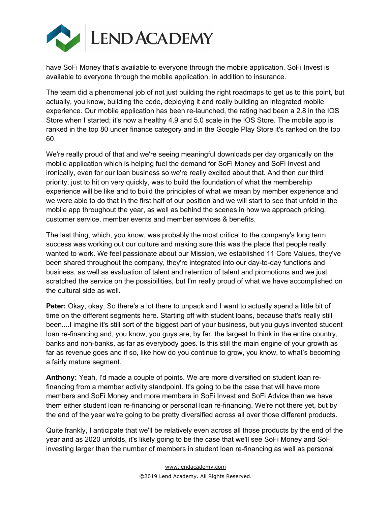

have SoFi Money that's available to everyone through the mobile application. SoFi Invest is available to everyone through the mobile application, in addition to insurance.

The team did a phenomenal job of not just building the right roadmaps to get us to this point, but actually, you know, building the code, deploying it and really building an integrated mobile experience. Our mobile application has been re-launched, the rating had been a 2.8 in the IOS Store when I started; it's now a healthy 4.9 and 5.0 scale in the IOS Store. The mobile app is ranked in the top 80 under finance category and in the Google Play Store it's ranked on the top 60.

We're really proud of that and we're seeing meaningful downloads per day organically on the mobile application which is helping fuel the demand for SoFi Money and SoFi Invest and ironically, even for our loan business so we're really excited about that. And then our third priority, just to hit on very quickly, was to build the foundation of what the membership experience will be like and to build the principles of what we mean by member experience and we were able to do that in the first half of our position and we will start to see that unfold in the mobile app throughout the year, as well as behind the scenes in how we approach pricing, customer service, member events and member services & benefits.

The last thing, which, you know, was probably the most critical to the company's long term success was working out our culture and making sure this was the place that people really wanted to work. We feel passionate about our Mission, we established 11 Core Values, they've been shared throughout the company, they're integrated into our day-to-day functions and business, as well as evaluation of talent and retention of talent and promotions and we just scratched the service on the possibilities, but I'm really proud of what we have accomplished on the cultural side as well.

**Peter:** Okay, okay. So there's a lot there to unpack and I want to actually spend a little bit of time on the different segments here. Starting off with student loans, because that's really still been....I imagine it's still sort of the biggest part of your business, but you guys invented student loan re-financing and, you know, you guys are, by far, the largest In think in the entire country, banks and non-banks, as far as everybody goes. Is this still the main engine of your growth as far as revenue goes and if so, like how do you continue to grow, you know, to what's becoming a fairly mature segment.

**Anthony:** Yeah, I'd made a couple of points. We are more diversified on student loan refinancing from a member activity standpoint. It's going to be the case that will have more members and SoFi Money and more members in SoFi Invest and SoFi Advice than we have them either student loan re-financing or personal loan re-financing. We're not there yet, but by the end of the year we're going to be pretty diversified across all over those different products.

Quite frankly, I anticipate that we'll be relatively even across all those products by the end of the year and as 2020 unfolds, it's likely going to be the case that we'll see SoFi Money and SoFi investing larger than the number of members in student loan re-financing as well as personal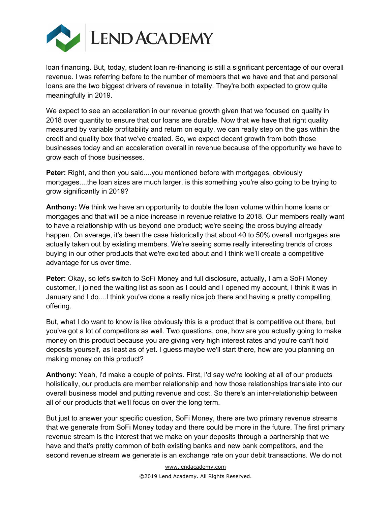

loan financing. But, today, student loan re-financing is still a significant percentage of our overall revenue. I was referring before to the number of members that we have and that and personal loans are the two biggest drivers of revenue in totality. They're both expected to grow quite meaningfully in 2019.

We expect to see an acceleration in our revenue growth given that we focused on quality in 2018 over quantity to ensure that our loans are durable. Now that we have that right quality measured by variable profitability and return on equity, we can really step on the gas within the credit and quality box that we've created. So, we expect decent growth from both those businesses today and an acceleration overall in revenue because of the opportunity we have to grow each of those businesses.

**Peter:** Right, and then you said....you mentioned before with mortgages, obviously mortgages....the loan sizes are much larger, is this something you're also going to be trying to grow significantly in 2019?

**Anthony:** We think we have an opportunity to double the loan volume within home loans or mortgages and that will be a nice increase in revenue relative to 2018. Our members really want to have a relationship with us beyond one product; we're seeing the cross buying already happen. On average, it's been the case historically that about 40 to 50% overall mortgages are actually taken out by existing members. We're seeing some really interesting trends of cross buying in our other products that we're excited about and I think we'll create a competitive advantage for us over time.

**Peter:** Okay, so let's switch to SoFi Money and full disclosure, actually, I am a SoFi Money customer, I joined the waiting list as soon as I could and I opened my account, I think it was in January and I do....I think you've done a really nice job there and having a pretty compelling offering.

But, what I do want to know is like obviously this is a product that is competitive out there, but you've got a lot of competitors as well. Two questions, one, how are you actually going to make money on this product because you are giving very high interest rates and you're can't hold deposits yourself, as least as of yet. I guess maybe we'll start there, how are you planning on making money on this product?

**Anthony:** Yeah, I'd make a couple of points. First, I'd say we're looking at all of our products holistically, our products are member relationship and how those relationships translate into our overall business model and putting revenue and cost. So there's an inter-relationship between all of our products that we'll focus on over the long term.

But just to answer your specific question, SoFi Money, there are two primary revenue streams that we generate from SoFi Money today and there could be more in the future. The first primary revenue stream is the interest that we make on your deposits through a partnership that we have and that's pretty common of both existing banks and new bank competitors, and the second revenue stream we generate is an exchange rate on your debit transactions. We do not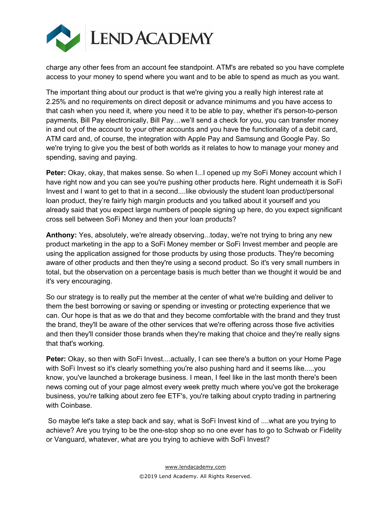

charge any other fees from an account fee standpoint. ATM's are rebated so you have complete access to your money to spend where you want and to be able to spend as much as you want.

The important thing about our product is that we're giving you a really high interest rate at 2.25% and no requirements on direct deposit or advance minimums and you have access to that cash when you need it, where you need it to be able to pay, whether it's person-to-person payments, Bill Pay electronically, Bill Pay…we'll send a check for you, you can transfer money in and out of the account to your other accounts and you have the functionality of a debit card, ATM card and, of course, the integration with Apple Pay and Samsung and Google Pay. So we're trying to give you the best of both worlds as it relates to how to manage your money and spending, saving and paying.

**Peter:** Okay, okay, that makes sense. So when I...I opened up my SoFi Money account which I have right now and you can see you're pushing other products here. Right underneath it is SoFi Invest and I want to get to that in a second....like obviously the student loan product/personal loan product, they're fairly high margin products and you talked about it yourself and you already said that you expect large numbers of people signing up here, do you expect significant cross sell between SoFi Money and then your loan products?

**Anthony:** Yes, absolutely, we're already observing...today, we're not trying to bring any new product marketing in the app to a SoFi Money member or SoFi Invest member and people are using the application assigned for those products by using those products. They're becoming aware of other products and then they're using a second product. So it's very small numbers in total, but the observation on a percentage basis is much better than we thought it would be and it's very encouraging.

So our strategy is to really put the member at the center of what we're building and deliver to them the best borrowing or saving or spending or investing or protecting experience that we can. Our hope is that as we do that and they become comfortable with the brand and they trust the brand, they'll be aware of the other services that we're offering across those five activities and then they'll consider those brands when they're making that choice and they're really signs that that's working.

**Peter:** Okay, so then with SoFi Invest....actually, I can see there's a button on your Home Page with SoFi Invest so it's clearly something you're also pushing hard and it seems like.....you know, you've launched a brokerage business. I mean, I feel like in the last month there's been news coming out of your page almost every week pretty much where you've got the brokerage business, you're talking about zero fee ETF's, you're talking about crypto trading in partnering with Coinbase.

So maybe let's take a step back and say, what is SoFi Invest kind of ....what are you trying to achieve? Are you trying to be the one-stop shop so no one ever has to go to Schwab or Fidelity or Vanguard, whatever, what are you trying to achieve with SoFi Invest?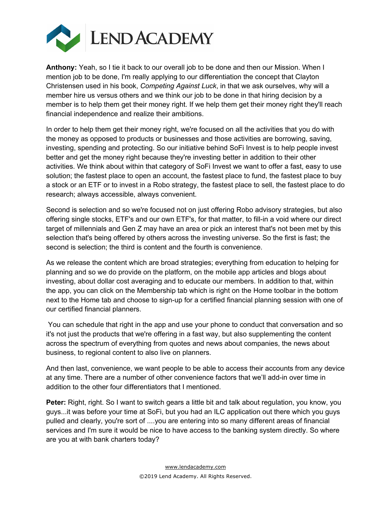

**Anthony:** Yeah, so I tie it back to our overall job to be done and then our Mission. When I mention job to be done, I'm really applying to our differentiation the concept that Clayton Christensen used in his book, *Competing Against Luck*, in that we ask ourselves, why will a member hire us versus others and we think our job to be done in that hiring decision by a member is to help them get their money right. If we help them get their money right they'll reach financial independence and realize their ambitions.

In order to help them get their money right, we're focused on all the activities that you do with the money as opposed to products or businesses and those activities are borrowing, saving, investing, spending and protecting. So our initiative behind SoFi Invest is to help people invest better and get the money right because they're investing better in addition to their other activities. We think about within that category of SoFi Invest we want to offer a fast, easy to use solution; the fastest place to open an account, the fastest place to fund, the fastest place to buy a stock or an ETF or to invest in a Robo strategy, the fastest place to sell, the fastest place to do research; always accessible, always convenient.

Second is selection and so we're focused not on just offering Robo advisory strategies, but also offering single stocks, ETF's and our own ETF's, for that matter, to fill-in a void where our direct target of millennials and Gen Z may have an area or pick an interest that's not been met by this selection that's being offered by others across the investing universe. So the first is fast; the second is selection; the third is content and the fourth is convenience.

As we release the content which are broad strategies; everything from education to helping for planning and so we do provide on the platform, on the mobile app articles and blogs about investing, about dollar cost averaging and to educate our members. In addition to that, within the app, you can click on the Membership tab which is right on the Home toolbar in the bottom next to the Home tab and choose to sign-up for a certified financial planning session with one of our certified financial planners.

You can schedule that right in the app and use your phone to conduct that conversation and so it's not just the products that we're offering in a fast way, but also supplementing the content across the spectrum of everything from quotes and news about companies, the news about business, to regional content to also live on planners.

And then last, convenience, we want people to be able to access their accounts from any device at any time. There are a number of other convenience factors that we'll add-in over time in addition to the other four differentiators that I mentioned.

**Peter:** Right, right. So I want to switch gears a little bit and talk about regulation, you know, you guys...it was before your time at SoFi, but you had an ILC application out there which you guys pulled and clearly, you're sort of ....you are entering into so many different areas of financial services and I'm sure it would be nice to have access to the banking system directly. So where are you at with bank charters today?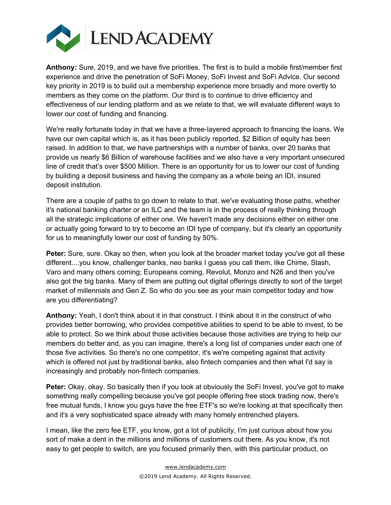

**Anthony:** Sure, 2019, and we have five priorities. The first is to build a mobile first/member first experience and drive the penetration of SoFi Money, SoFi Invest and SoFi Advice. Our second key priority in 2019 is to build out a membership experience more broadly and more overtly to members as they come on the platform. Our third is to continue to drive efficiency and effectiveness of our lending platform and as we relate to that, we will evaluate different ways to lower our cost of funding and financing.

We're really fortunate today in that we have a three-layered approach to financing the loans. We have our own capital which is, as it has been publicly reported, \$2 Billion of equity has been raised. In addition to that, we have partnerships with a number of banks, over 20 banks that provide us nearly \$6 Billion of warehouse facilities and we also have a very important unsecured line of credit that's over \$500 Million. There is an opportunity for us to lower our cost of funding by building a deposit business and having the company as a whole being an IDI, insured deposit institution.

There are a couple of paths to go down to relate to that. we've evaluating those paths, whether it's national banking charter or an ILC and the team is in the process of really thinking through all the strategic implications of either one. We haven't made any decisions either on either one or actually going forward to try to become an IDI type of company, but it's clearly an opportunity for us to meaningfully lower our cost of funding by 50%.

**Peter:** Sure, sure. Okay so then, when you look at the broader market today you've got all these different....you know, challenger banks, neo banks I guess you call them, like Chime, Stash, Varo and many others coming; Europeans coming, Revolut, Monzo and N26 and then you've also got the big banks. Many of them are putting out digital offerings directly to sort of the target market of millennials and Gen Z. So who do you see as your main competitor today and how are you differentiating?

**Anthony:** Yeah, I don't think about it in that construct. I think about it in the construct of who provides better borrowing, who provides competitive abilities to spend to be able to invest, to be able to protect. So we think about those activities because those activities are trying to help our members do better and, as you can imagine, there's a long list of companies under each one of those five activities. So there's no one competitor, it's we're competing against that activity which is offered not just by traditional banks, also fintech companies and then what I'd say is increasingly and probably non-fintech companies.

**Peter:** Okay, okay. So basically then if you look at obviously the SoFi Invest, you've got to make something really compelling because you've got people offering free stock trading now, there's free mutual funds, I know you guys have the free ETF's so we're looking at that specifically then and it's a very sophisticated space already with many homely entrenched players.

I mean, like the zero fee ETF, you know, got a lot of publicity, I'm just curious about how you sort of make a dent in the millions and millions of customers out there. As you know, it's not easy to get people to switch, are you focused primarily then, with this particular product, on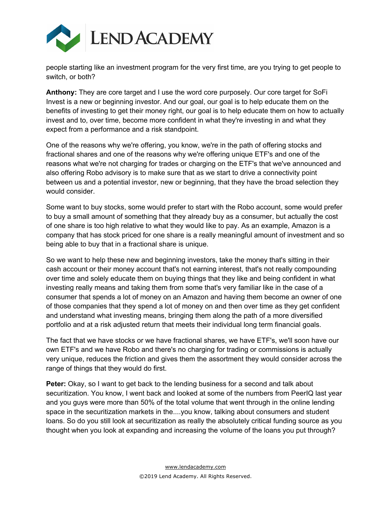

people starting like an investment program for the very first time, are you trying to get people to switch, or both?

**Anthony:** They are core target and I use the word core purposely. Our core target for SoFi Invest is a new or beginning investor. And our goal, our goal is to help educate them on the benefits of investing to get their money right, our goal is to help educate them on how to actually invest and to, over time, become more confident in what they're investing in and what they expect from a performance and a risk standpoint.

One of the reasons why we're offering, you know, we're in the path of offering stocks and fractional shares and one of the reasons why we're offering unique ETF's and one of the reasons what we're not charging for trades or charging on the ETF's that we've announced and also offering Robo advisory is to make sure that as we start to drive a connectivity point between us and a potential investor, new or beginning, that they have the broad selection they would consider.

Some want to buy stocks, some would prefer to start with the Robo account, some would prefer to buy a small amount of something that they already buy as a consumer, but actually the cost of one share is too high relative to what they would like to pay. As an example, Amazon is a company that has stock priced for one share is a really meaningful amount of investment and so being able to buy that in a fractional share is unique.

So we want to help these new and beginning investors, take the money that's sitting in their cash account or their money account that's not earning interest, that's not really compounding over time and solely educate them on buying things that they like and being confident in what investing really means and taking them from some that's very familiar like in the case of a consumer that spends a lot of money on an Amazon and having them become an owner of one of those companies that they spend a lot of money on and then over time as they get confident and understand what investing means, bringing them along the path of a more diversified portfolio and at a risk adjusted return that meets their individual long term financial goals.

The fact that we have stocks or we have fractional shares, we have ETF's, we'll soon have our own ETF's and we have Robo and there's no charging for trading or commissions is actually very unique, reduces the friction and gives them the assortment they would consider across the range of things that they would do first.

**Peter:** Okay, so I want to get back to the lending business for a second and talk about securitization. You know, I went back and looked at some of the numbers from PeerIQ last year and you guys were more than 50% of the total volume that went through in the online lending space in the securitization markets in the....you know, talking about consumers and student loans. So do you still look at securitization as really the absolutely critical funding source as you thought when you look at expanding and increasing the volume of the loans you put through?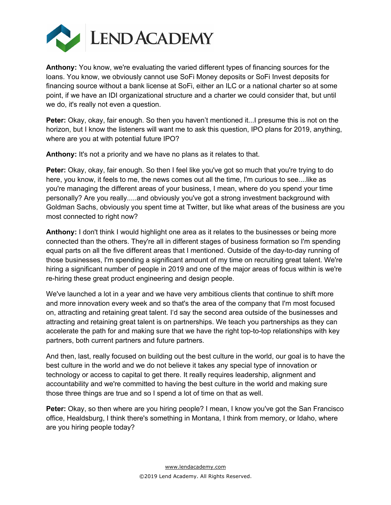

**Anthony:** You know, we're evaluating the varied different types of financing sources for the loans. You know, we obviously cannot use SoFi Money deposits or SoFi Invest deposits for financing source without a bank license at SoFi, either an ILC or a national charter so at some point, if we have an IDI organizational structure and a charter we could consider that, but until we do, it's really not even a question.

**Peter:** Okay, okay, fair enough. So then you haven't mentioned it...I presume this is not on the horizon, but I know the listeners will want me to ask this question, IPO plans for 2019, anything, where are you at with potential future IPO?

**Anthony:** It's not a priority and we have no plans as it relates to that.

**Peter:** Okay, okay, fair enough. So then I feel like you've got so much that you're trying to do here, you know, it feels to me, the news comes out all the time, I'm curious to see....like as you're managing the different areas of your business, I mean, where do you spend your time personally? Are you really.....and obviously you've got a strong investment background with Goldman Sachs, obviously you spent time at Twitter, but like what areas of the business are you most connected to right now?

**Anthony:** I don't think I would highlight one area as it relates to the businesses or being more connected than the others. They're all in different stages of business formation so I'm spending equal parts on all the five different areas that I mentioned. Outside of the day-to-day running of those businesses, I'm spending a significant amount of my time on recruiting great talent. We're hiring a significant number of people in 2019 and one of the major areas of focus within is we're re-hiring these great product engineering and design people.

We've launched a lot in a year and we have very ambitious clients that continue to shift more and more innovation every week and so that's the area of the company that I'm most focused on, attracting and retaining great talent. I'd say the second area outside of the businesses and attracting and retaining great talent is on partnerships. We teach you partnerships as they can accelerate the path for and making sure that we have the right top-to-top relationships with key partners, both current partners and future partners.

And then, last, really focused on building out the best culture in the world, our goal is to have the best culture in the world and we do not believe it takes any special type of innovation or technology or access to capital to get there. It really requires leadership, alignment and accountability and we're committed to having the best culture in the world and making sure those three things are true and so I spend a lot of time on that as well.

**Peter:** Okay, so then where are you hiring people? I mean, I know you've got the San Francisco office, Healdsburg, I think there's something in Montana, I think from memory, or Idaho, where are you hiring people today?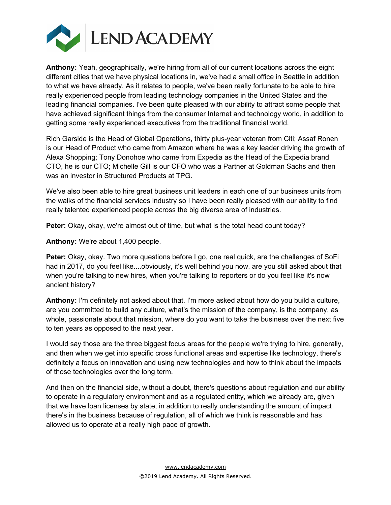

**Anthony:** Yeah, geographically, we're hiring from all of our current locations across the eight different cities that we have physical locations in, we've had a small office in Seattle in addition to what we have already. As it relates to people, we've been really fortunate to be able to hire really experienced people from leading technology companies in the United States and the leading financial companies. I've been quite pleased with our ability to attract some people that have achieved significant things from the consumer Internet and technology world, in addition to getting some really experienced executives from the traditional financial world.

Rich Garside is the Head of Global Operations, thirty plus-year veteran from Citi; Assaf Ronen is our Head of Product who came from Amazon where he was a key leader driving the growth of Alexa Shopping; Tony Donohoe who came from Expedia as the Head of the Expedia brand CTO, he is our CTO; Michelle Gill is our CFO who was a Partner at Goldman Sachs and then was an investor in Structured Products at TPG.

We've also been able to hire great business unit leaders in each one of our business units from the walks of the financial services industry so I have been really pleased with our ability to find really talented experienced people across the big diverse area of industries.

**Peter:** Okay, okay, we're almost out of time, but what is the total head count today?

**Anthony:** We're about 1,400 people.

**Peter:** Okay, okay. Two more questions before I go, one real quick, are the challenges of SoFi had in 2017, do you feel like....obviously, it's well behind you now, are you still asked about that when you're talking to new hires, when you're talking to reporters or do you feel like it's now ancient history?

**Anthony:** I'm definitely not asked about that. I'm more asked about how do you build a culture, are you committed to build any culture, what's the mission of the company, is the company, as whole, passionate about that mission, where do you want to take the business over the next five to ten years as opposed to the next year.

I would say those are the three biggest focus areas for the people we're trying to hire, generally, and then when we get into specific cross functional areas and expertise like technology, there's definitely a focus on innovation and using new technologies and how to think about the impacts of those technologies over the long term.

And then on the financial side, without a doubt, there's questions about regulation and our ability to operate in a regulatory environment and as a regulated entity, which we already are, given that we have loan licenses by state, in addition to really understanding the amount of impact there's in the business because of regulation, all of which we think is reasonable and has allowed us to operate at a really high pace of growth.